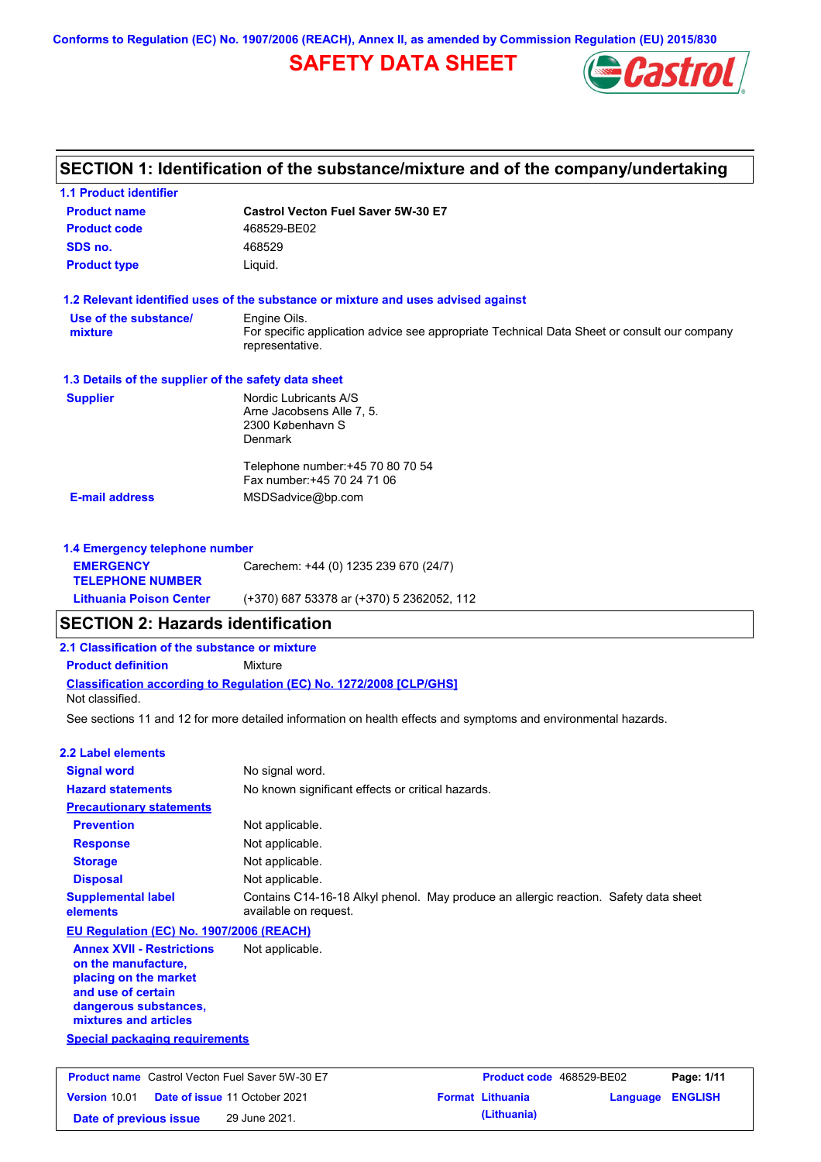**Conforms to Regulation (EC) No. 1907/2006 (REACH), Annex II, as amended by Commission Regulation (EU) 2015/830**

# **SAFETY DATA SHEET**



| <b>1.1 Product identifier</b>                                                    |                                                                                                                |                                            |                |
|----------------------------------------------------------------------------------|----------------------------------------------------------------------------------------------------------------|--------------------------------------------|----------------|
| <b>Product name</b>                                                              | <b>Castrol Vecton Fuel Saver 5W-30 E7</b>                                                                      |                                            |                |
| <b>Product code</b>                                                              | 468529-BE02                                                                                                    |                                            |                |
| SDS no.                                                                          | 468529                                                                                                         |                                            |                |
| <b>Product type</b>                                                              | Liquid.                                                                                                        |                                            |                |
|                                                                                  | 1.2 Relevant identified uses of the substance or mixture and uses advised against                              |                                            |                |
| Use of the substance/                                                            | Engine Oils.                                                                                                   |                                            |                |
| mixture                                                                          | For specific application advice see appropriate Technical Data Sheet or consult our company<br>representative. |                                            |                |
| 1.3 Details of the supplier of the safety data sheet                             |                                                                                                                |                                            |                |
| <b>Supplier</b>                                                                  | Nordic Lubricants A/S                                                                                          |                                            |                |
|                                                                                  | Arne Jacobsens Alle 7, 5.<br>2300 København S<br><b>Denmark</b>                                                |                                            |                |
|                                                                                  | Telephone number: +45 70 80 70 54<br>Fax number: +45 70 24 71 06                                               |                                            |                |
| <b>E-mail address</b>                                                            | MSDSadvice@bp.com                                                                                              |                                            |                |
| 1.4 Emergency telephone number                                                   |                                                                                                                |                                            |                |
| <b>EMERGENCY</b><br><b>TELEPHONE NUMBER</b>                                      | Carechem: +44 (0) 1235 239 670 (24/7)                                                                          |                                            |                |
| <b>Lithuania Poison Center</b>                                                   | (+370) 687 53378 ar (+370) 5 2362052, 112                                                                      |                                            |                |
| <b>SECTION 2: Hazards identification</b>                                         |                                                                                                                |                                            |                |
| 2.1 Classification of the substance or mixture                                   |                                                                                                                |                                            |                |
| <b>Product definition</b>                                                        | Mixture                                                                                                        |                                            |                |
| Not classified.                                                                  | Classification according to Regulation (EC) No. 1272/2008 [CLP/GHS]                                            |                                            |                |
|                                                                                  | See sections 11 and 12 for more detailed information on health effects and symptoms and environmental hazards. |                                            |                |
| <b>2.2 Label elements</b>                                                        |                                                                                                                |                                            |                |
| <b>Signal word</b>                                                               | No signal word.                                                                                                |                                            |                |
| <b>Hazard statements</b>                                                         | No known significant effects or critical hazards.                                                              |                                            |                |
| <b>Precautionary statements</b>                                                  |                                                                                                                |                                            |                |
| <b>Prevention</b>                                                                | Not applicable.                                                                                                |                                            |                |
| <b>Response</b>                                                                  | Not applicable.                                                                                                |                                            |                |
| <b>Storage</b>                                                                   | Not applicable.                                                                                                |                                            |                |
| <b>Disposal</b>                                                                  | Not applicable.                                                                                                |                                            |                |
| <b>Supplemental label</b><br>elements                                            | Contains C14-16-18 Alkyl phenol. May produce an allergic reaction. Safety data sheet<br>available on request.  |                                            |                |
| EU Regulation (EC) No. 1907/2006 (REACH)                                         |                                                                                                                |                                            |                |
| <b>Annex XVII - Restrictions</b><br>on the manufacture,<br>placing on the market | Not applicable.                                                                                                |                                            |                |
| and use of certain<br>dangerous substances,<br>mixtures and articles             |                                                                                                                |                                            |                |
| <b>Special packaging requirements</b>                                            |                                                                                                                |                                            |                |
|                                                                                  |                                                                                                                |                                            |                |
| <b>Product name</b> Castrol Vecton Fuel Saver 5W-30 E7                           |                                                                                                                | Product code 468529-BE02                   | Page: 1/11     |
| Version 10.01                                                                    | Date of issue 11 October 2021                                                                                  | <b>Format Lithuania</b><br><b>Language</b> | <b>ENGLISH</b> |
| Date of previous issue                                                           | 29 June 2021.                                                                                                  | (Lithuania)                                |                |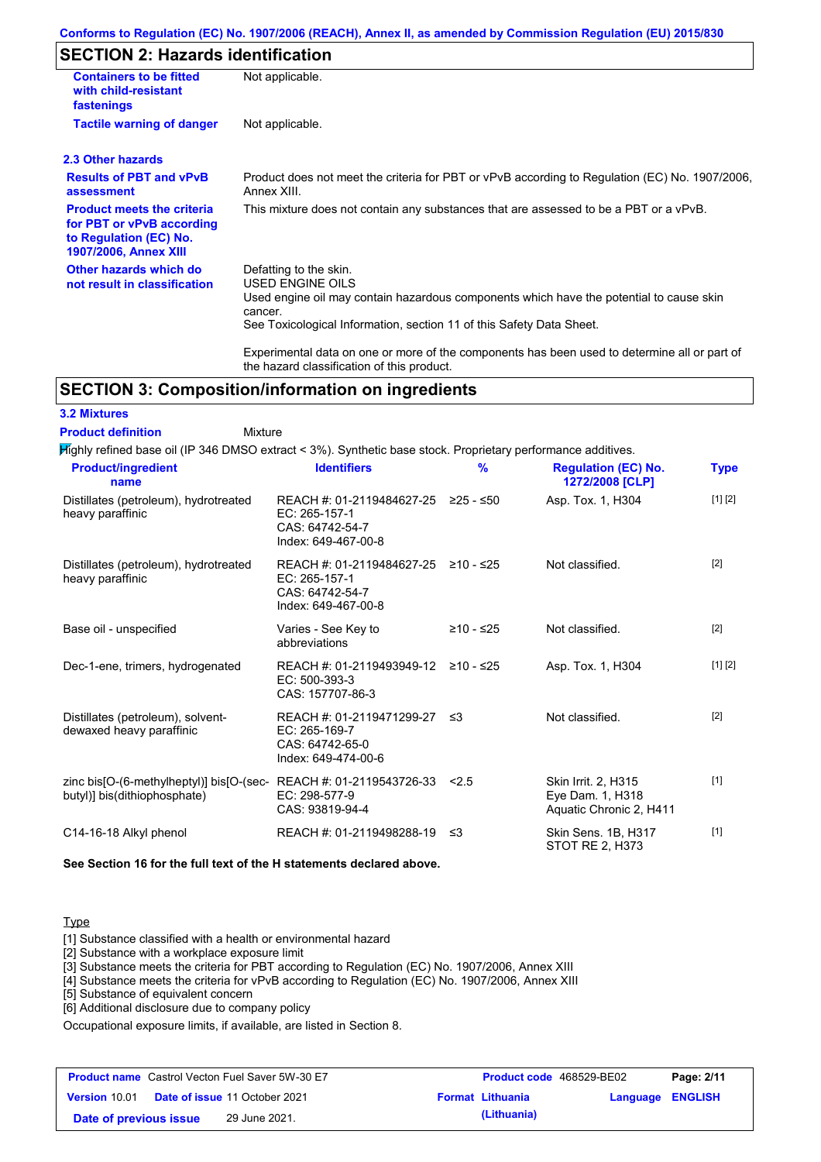#### **Conforms to Regulation (EC) No. 1907/2006 (REACH), Annex II, as amended by Commission Regulation (EU) 2015/830**

## **SECTION 2: Hazards identification**

| Not applicable.                                                                                                                                                                                                                                                                                                                                                               |  |  |
|-------------------------------------------------------------------------------------------------------------------------------------------------------------------------------------------------------------------------------------------------------------------------------------------------------------------------------------------------------------------------------|--|--|
| Not applicable.                                                                                                                                                                                                                                                                                                                                                               |  |  |
|                                                                                                                                                                                                                                                                                                                                                                               |  |  |
| Product does not meet the criteria for PBT or vPvB according to Regulation (EC) No. 1907/2006,<br>Annex XIII.                                                                                                                                                                                                                                                                 |  |  |
| This mixture does not contain any substances that are assessed to be a PBT or a vPvB.                                                                                                                                                                                                                                                                                         |  |  |
| Defatting to the skin.<br><b>USED ENGINE OILS</b><br>Used engine oil may contain hazardous components which have the potential to cause skin<br>cancer.<br>See Toxicological Information, section 11 of this Safety Data Sheet.<br>Experimental data on one or more of the components has been used to determine all or part of<br>the hazard classification of this product. |  |  |
|                                                                                                                                                                                                                                                                                                                                                                               |  |  |

### **SECTION 3: Composition/information on ingredients**

#### **3.2 Mixtures**

Mixture **Product definition**

Highly refined base oil (IP 346 DMSO extract < 3%). Synthetic base stock. Proprietary performance additives.

| <b>Product/ingredient</b><br>name                                                                 | <b>Identifiers</b>                                                                      | $\frac{9}{6}$ | <b>Regulation (EC) No.</b><br>1272/2008 [CLP]                      | <b>Type</b> |
|---------------------------------------------------------------------------------------------------|-----------------------------------------------------------------------------------------|---------------|--------------------------------------------------------------------|-------------|
| Distillates (petroleum), hydrotreated<br>heavy paraffinic                                         | REACH #: 01-2119484627-25<br>EC: 265-157-1<br>CAS: 64742-54-7<br>Index: 649-467-00-8    | ≥25 - ≤50     | Asp. Tox. 1, H304                                                  | [1] [2]     |
| Distillates (petroleum), hydrotreated<br>heavy paraffinic                                         | REACH #: 01-2119484627-25<br>EC: 265-157-1<br>CAS: 64742-54-7<br>Index: 649-467-00-8    | ≥10 - ≤25     | Not classified.                                                    | $[2]$       |
| Base oil - unspecified                                                                            | Varies - See Key to<br>abbreviations                                                    | ≥10 - ≤25     | Not classified.                                                    | $[2]$       |
| Dec-1-ene, trimers, hydrogenated                                                                  | REACH #: 01-2119493949-12<br>$EC: 500-393-3$<br>CAS: 157707-86-3                        | ≥10 - ≤25     | Asp. Tox. 1, H304                                                  | [1] [2]     |
| Distillates (petroleum), solvent-<br>dewaxed heavy paraffinic                                     | REACH #: 01-2119471299-27 ≤3<br>EC: 265-169-7<br>CAS: 64742-65-0<br>Index: 649-474-00-6 |               | Not classified.                                                    | $[2]$       |
| zinc bis[O-(6-methylheptyl)] bis[O-(sec-REACH #: 01-2119543726-33<br>butyl)] bis(dithiophosphate) | EC: 298-577-9<br>CAS: 93819-94-4                                                        | 2.5           | Skin Irrit. 2, H315<br>Eye Dam. 1, H318<br>Aquatic Chronic 2, H411 | [1]         |
| C14-16-18 Alkyl phenol                                                                            | REACH #: 01-2119498288-19                                                               | -≤3           | Skin Sens. 1B, H317<br>STOT RE 2, H373                             | $[1]$       |

**See Section 16 for the full text of the H statements declared above.**

#### Type

[1] Substance classified with a health or environmental hazard

[2] Substance with a workplace exposure limit

[3] Substance meets the criteria for PBT according to Regulation (EC) No. 1907/2006, Annex XIII

[4] Substance meets the criteria for vPvB according to Regulation (EC) No. 1907/2006, Annex XIII

[5] Substance of equivalent concern

[6] Additional disclosure due to company policy

Occupational exposure limits, if available, are listed in Section 8.

| <b>Product name</b> Castrol Vecton Fuel Saver 5W-30 E7 |  | <b>Product code</b> 468529-BE02      |  | Page: 2/11              |                  |  |
|--------------------------------------------------------|--|--------------------------------------|--|-------------------------|------------------|--|
| <b>Version 10.01</b>                                   |  | <b>Date of issue 11 October 2021</b> |  | <b>Format Lithuania</b> | Language ENGLISH |  |
| Date of previous issue                                 |  | 29 June 2021.                        |  | (Lithuania)             |                  |  |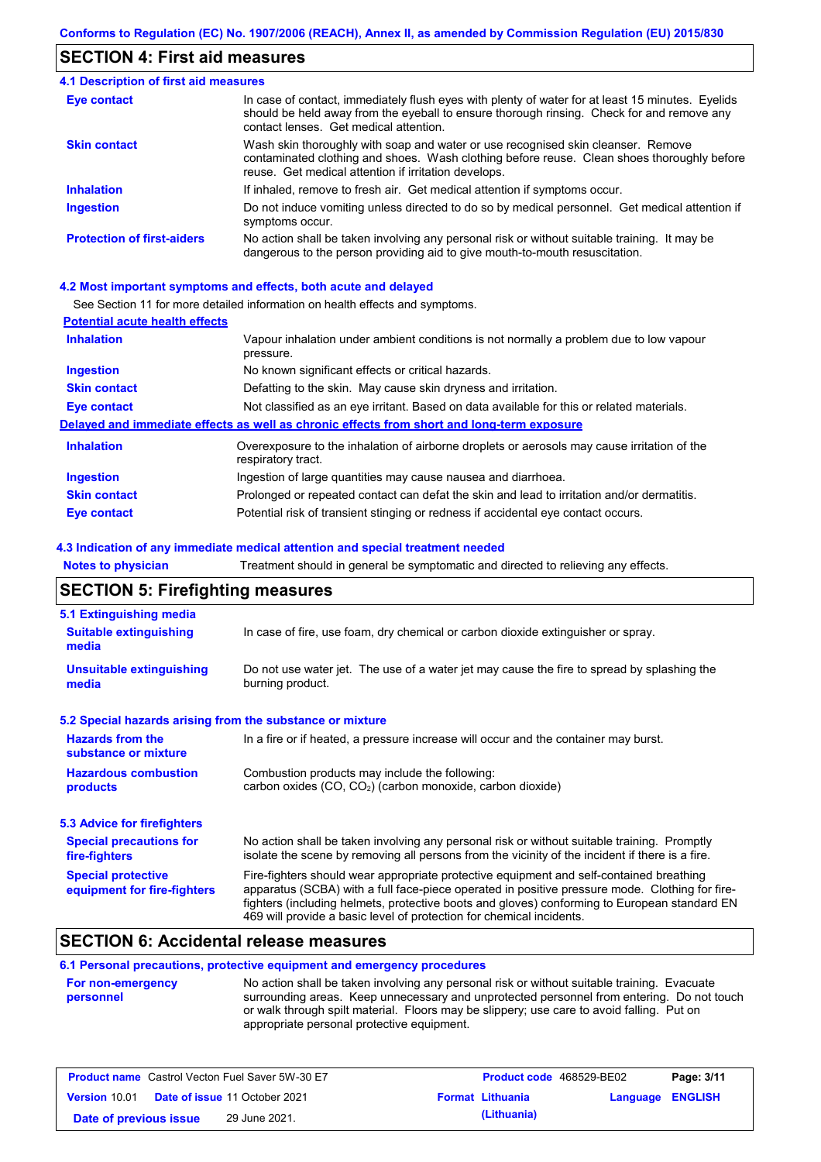## **SECTION 4: First aid measures**

#### Do not induce vomiting unless directed to do so by medical personnel. Get medical attention if symptoms occur. In case of contact, immediately flush eyes with plenty of water for at least 15 minutes. Eyelids should be held away from the eyeball to ensure thorough rinsing. Check for and remove any contact lenses. Get medical attention. **4.1 Description of first aid measures** If inhaled, remove to fresh air. Get medical attention if symptoms occur. **Ingestion Inhalation Eye contact Protection of first-aiders** No action shall be taken involving any personal risk or without suitable training. It may be dangerous to the person providing aid to give mouth-to-mouth resuscitation. **Skin contact** Wash skin thoroughly with soap and water or use recognised skin cleanser. Remove contaminated clothing and shoes. Wash clothing before reuse. Clean shoes thoroughly before reuse. Get medical attention if irritation develops.

#### **4.2 Most important symptoms and effects, both acute and delayed**

See Section 11 for more detailed information on health effects and symptoms.

| <b>Potential acute health effects</b> |                                                                                                                   |
|---------------------------------------|-------------------------------------------------------------------------------------------------------------------|
| <b>Inhalation</b>                     | Vapour inhalation under ambient conditions is not normally a problem due to low vapour<br>pressure.               |
| <b>Ingestion</b>                      | No known significant effects or critical hazards.                                                                 |
| <b>Skin contact</b>                   | Defatting to the skin. May cause skin dryness and irritation.                                                     |
| Eye contact                           | Not classified as an eye irritant. Based on data available for this or related materials.                         |
|                                       | Delayed and immediate effects as well as chronic effects from short and long-term exposure                        |
| <b>Inhalation</b>                     | Overexposure to the inhalation of airborne droplets or aerosols may cause irritation of the<br>respiratory tract. |
| <b>Ingestion</b>                      | Ingestion of large quantities may cause nausea and diarrhoea.                                                     |
| <b>Skin contact</b>                   | Prolonged or repeated contact can defat the skin and lead to irritation and/or dermatitis.                        |
| Eye contact                           | Potential risk of transient stinging or redness if accidental eye contact occurs.                                 |

#### **4.3 Indication of any immediate medical attention and special treatment needed**

| <b>Notes to physician</b>                                 | Treatment should in general be symptomatic and directed to relieving any effects.                                                                                                                                                                                                                                                                                 |  |  |  |  |
|-----------------------------------------------------------|-------------------------------------------------------------------------------------------------------------------------------------------------------------------------------------------------------------------------------------------------------------------------------------------------------------------------------------------------------------------|--|--|--|--|
| <b>SECTION 5: Firefighting measures</b>                   |                                                                                                                                                                                                                                                                                                                                                                   |  |  |  |  |
| 5.1 Extinguishing media                                   |                                                                                                                                                                                                                                                                                                                                                                   |  |  |  |  |
| <b>Suitable extinguishing</b><br>media                    | In case of fire, use foam, dry chemical or carbon dioxide extinguisher or spray.                                                                                                                                                                                                                                                                                  |  |  |  |  |
| <b>Unsuitable extinguishing</b><br>media                  | Do not use water jet. The use of a water jet may cause the fire to spread by splashing the<br>burning product.                                                                                                                                                                                                                                                    |  |  |  |  |
| 5.2 Special hazards arising from the substance or mixture |                                                                                                                                                                                                                                                                                                                                                                   |  |  |  |  |
| <b>Hazards from the</b><br>substance or mixture           | In a fire or if heated, a pressure increase will occur and the container may burst.                                                                                                                                                                                                                                                                               |  |  |  |  |
| <b>Hazardous combustion</b><br>products                   | Combustion products may include the following:<br>carbon oxides (CO, CO <sub>2</sub> ) (carbon monoxide, carbon dioxide)                                                                                                                                                                                                                                          |  |  |  |  |
| <b>5.3 Advice for firefighters</b>                        |                                                                                                                                                                                                                                                                                                                                                                   |  |  |  |  |
| <b>Special precautions for</b><br>fire-fighters           | No action shall be taken involving any personal risk or without suitable training. Promptly<br>isolate the scene by removing all persons from the vicinity of the incident if there is a fire.                                                                                                                                                                    |  |  |  |  |
| <b>Special protective</b><br>equipment for fire-fighters  | Fire-fighters should wear appropriate protective equipment and self-contained breathing<br>apparatus (SCBA) with a full face-piece operated in positive pressure mode. Clothing for fire-<br>fighters (including helmets, protective boots and gloves) conforming to European standard EN<br>469 will provide a basic level of protection for chemical incidents. |  |  |  |  |

### **SECTION 6: Accidental release measures**

#### **6.1 Personal precautions, protective equipment and emergency procedures**

| <b>For non-emergency</b> | No action shall be taken involving any personal risk or without suitable training. Evacuate |
|--------------------------|---------------------------------------------------------------------------------------------|
| personnel                | surrounding areas. Keep unnecessary and unprotected personnel from entering. Do not touch   |
|                          | or walk through spilt material. Floors may be slippery; use care to avoid falling. Put on   |
|                          | appropriate personal protective equipment.                                                  |

| <b>Product name</b> Castrol Vecton Fuel Saver 5W-30 E7 |                                      |                         | <b>Product code</b> 468529-BE02 | Page: 3/11 |
|--------------------------------------------------------|--------------------------------------|-------------------------|---------------------------------|------------|
| <b>Version 10.01</b>                                   | <b>Date of issue 11 October 2021</b> | <b>Format Lithuania</b> | <b>Language ENGLISH</b>         |            |
| Date of previous issue                                 | 29 June 2021.                        | (Lithuania)             |                                 |            |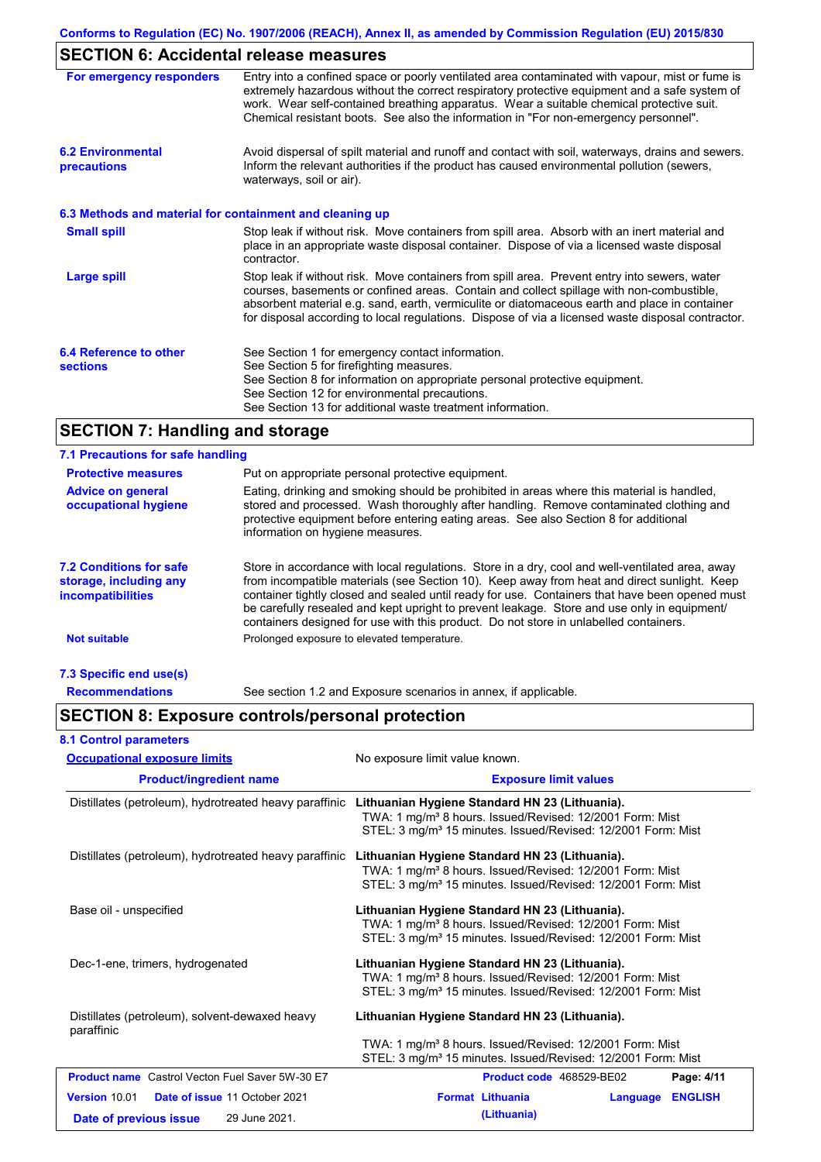## **SECTION 6: Accidental release measures**

| For emergency responders                                 | Entry into a confined space or poorly ventilated area contaminated with vapour, mist or fume is<br>extremely hazardous without the correct respiratory protective equipment and a safe system of<br>work. Wear self-contained breathing apparatus. Wear a suitable chemical protective suit.<br>Chemical resistant boots. See also the information in "For non-emergency personnel".           |
|----------------------------------------------------------|------------------------------------------------------------------------------------------------------------------------------------------------------------------------------------------------------------------------------------------------------------------------------------------------------------------------------------------------------------------------------------------------|
| <b>6.2 Environmental</b><br>precautions                  | Avoid dispersal of spilt material and runoff and contact with soil, waterways, drains and sewers.<br>Inform the relevant authorities if the product has caused environmental pollution (sewers,<br>waterways, soil or air).                                                                                                                                                                    |
| 6.3 Methods and material for containment and cleaning up |                                                                                                                                                                                                                                                                                                                                                                                                |
| <b>Small spill</b>                                       | Stop leak if without risk. Move containers from spill area. Absorb with an inert material and<br>place in an appropriate waste disposal container. Dispose of via a licensed waste disposal<br>contractor.                                                                                                                                                                                     |
| Large spill                                              | Stop leak if without risk. Move containers from spill area. Prevent entry into sewers, water<br>courses, basements or confined areas. Contain and collect spillage with non-combustible,<br>absorbent material e.g. sand, earth, vermiculite or diatomaceous earth and place in container<br>for disposal according to local regulations. Dispose of via a licensed waste disposal contractor. |
| 6.4 Reference to other<br><b>sections</b>                | See Section 1 for emergency contact information.<br>See Section 5 for firefighting measures.<br>See Section 8 for information on appropriate personal protective equipment.<br>See Section 12 for environmental precautions.<br>See Section 13 for additional waste treatment information.                                                                                                     |

## **SECTION 7: Handling and storage**

| 7.1 Precautions for safe handling                                                    |                                                                                                                                                                                                                                                                                                                                                                                                                                                                                          |
|--------------------------------------------------------------------------------------|------------------------------------------------------------------------------------------------------------------------------------------------------------------------------------------------------------------------------------------------------------------------------------------------------------------------------------------------------------------------------------------------------------------------------------------------------------------------------------------|
| <b>Protective measures</b>                                                           | Put on appropriate personal protective equipment.                                                                                                                                                                                                                                                                                                                                                                                                                                        |
| <b>Advice on general</b><br>occupational hygiene                                     | Eating, drinking and smoking should be prohibited in areas where this material is handled.<br>stored and processed. Wash thoroughly after handling. Remove contaminated clothing and<br>protective equipment before entering eating areas. See also Section 8 for additional<br>information on hygiene measures.                                                                                                                                                                         |
| <b>7.2 Conditions for safe</b><br>storage, including any<br><i>incompatibilities</i> | Store in accordance with local requiations. Store in a dry, cool and well-ventilated area, away<br>from incompatible materials (see Section 10). Keep away from heat and direct sunlight. Keep<br>container tightly closed and sealed until ready for use. Containers that have been opened must<br>be carefully resealed and kept upright to prevent leakage. Store and use only in equipment/<br>containers designed for use with this product. Do not store in unlabelled containers. |
| <b>Not suitable</b>                                                                  | Prolonged exposure to elevated temperature.                                                                                                                                                                                                                                                                                                                                                                                                                                              |
| 7.3 Specific end use(s)                                                              |                                                                                                                                                                                                                                                                                                                                                                                                                                                                                          |
| <b>Recommendations</b>                                                               | See section 1.2 and Exposure scenarios in annex, if applicable.                                                                                                                                                                                                                                                                                                                                                                                                                          |

## **SECTION 8: Exposure controls/personal protection**

| <b>Occupational exposure limits</b>                          | No exposure limit value known.<br><b>Exposure limit values</b>                                                                                                                                     |  |  |
|--------------------------------------------------------------|----------------------------------------------------------------------------------------------------------------------------------------------------------------------------------------------------|--|--|
| <b>Product/ingredient name</b>                               |                                                                                                                                                                                                    |  |  |
| Distillates (petroleum), hydrotreated heavy paraffinic       | Lithuanian Hygiene Standard HN 23 (Lithuania).<br>TWA: 1 mg/m <sup>3</sup> 8 hours. Issued/Revised: 12/2001 Form: Mist<br>STEL: 3 mg/m <sup>3</sup> 15 minutes. Issued/Revised: 12/2001 Form: Mist |  |  |
| Distillates (petroleum), hydrotreated heavy paraffinic       | Lithuanian Hygiene Standard HN 23 (Lithuania).<br>TWA: 1 mg/m <sup>3</sup> 8 hours. Issued/Revised: 12/2001 Form: Mist<br>STEL: 3 mg/m <sup>3</sup> 15 minutes. Issued/Revised: 12/2001 Form: Mist |  |  |
| Base oil - unspecified                                       | Lithuanian Hygiene Standard HN 23 (Lithuania).<br>TWA: 1 mg/m <sup>3</sup> 8 hours. Issued/Revised: 12/2001 Form: Mist<br>STEL: 3 mg/m <sup>3</sup> 15 minutes. Issued/Revised: 12/2001 Form: Mist |  |  |
| Dec-1-ene, trimers, hydrogenated                             | Lithuanian Hygiene Standard HN 23 (Lithuania).<br>TWA: 1 mg/m <sup>3</sup> 8 hours. Issued/Revised: 12/2001 Form: Mist<br>STEL: 3 mg/m <sup>3</sup> 15 minutes. Issued/Revised: 12/2001 Form: Mist |  |  |
| Distillates (petroleum), solvent-dewaxed heavy<br>paraffinic | Lithuanian Hygiene Standard HN 23 (Lithuania).                                                                                                                                                     |  |  |
|                                                              | TWA: 1 mg/m <sup>3</sup> 8 hours. Issued/Revised: 12/2001 Form: Mist<br>STEL: 3 mg/m <sup>3</sup> 15 minutes. Issued/Revised: 12/2001 Form: Mist                                                   |  |  |
| <b>Product name</b> Castrol Vecton Fuel Saver 5W-30 E7       | Page: 4/11<br>Product code 468529-BE02                                                                                                                                                             |  |  |
| Version 10.01<br>Date of issue 11 October 2021               | <b>Format Lithuania</b><br><b>ENGLISH</b><br>Language                                                                                                                                              |  |  |
| 29 June 2021.<br>Date of previous issue                      | (Lithuania)                                                                                                                                                                                        |  |  |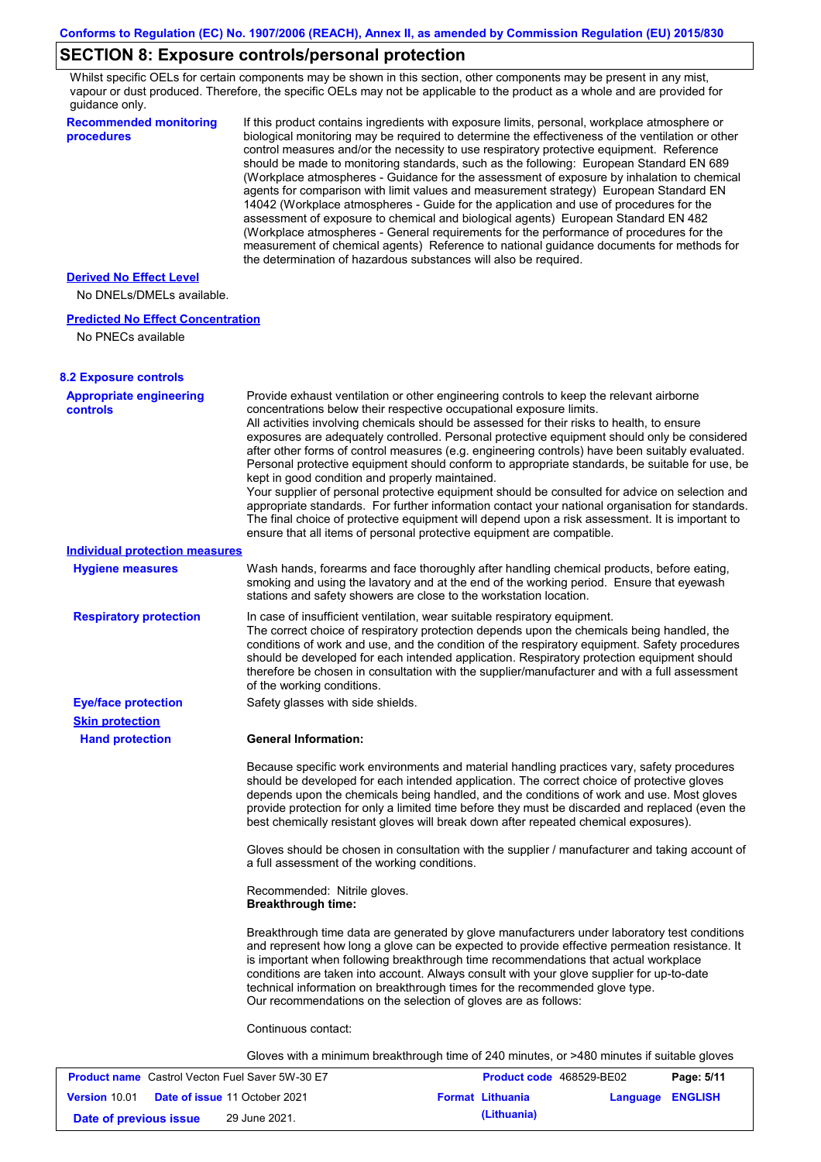## **SECTION 8: Exposure controls/personal protection**

Whilst specific OELs for certain components may be shown in this section, other components may be present in any mist, vapour or dust produced. Therefore, the specific OELs may not be applicable to the product as a whole and are provided for guidance only.

| <b>Recommended monitoring</b><br>procedures                    | If this product contains ingredients with exposure limits, personal, workplace atmosphere or<br>biological monitoring may be required to determine the effectiveness of the ventilation or other<br>control measures and/or the necessity to use respiratory protective equipment. Reference<br>should be made to monitoring standards, such as the following: European Standard EN 689 |                                                                                                                                                                                                                                                                                                                                                                                                                                                                                                                                                                                                                                                                                                                                                                                                     |            |  |
|----------------------------------------------------------------|-----------------------------------------------------------------------------------------------------------------------------------------------------------------------------------------------------------------------------------------------------------------------------------------------------------------------------------------------------------------------------------------|-----------------------------------------------------------------------------------------------------------------------------------------------------------------------------------------------------------------------------------------------------------------------------------------------------------------------------------------------------------------------------------------------------------------------------------------------------------------------------------------------------------------------------------------------------------------------------------------------------------------------------------------------------------------------------------------------------------------------------------------------------------------------------------------------------|------------|--|
|                                                                | the determination of hazardous substances will also be required.                                                                                                                                                                                                                                                                                                                        | (Workplace atmospheres - Guidance for the assessment of exposure by inhalation to chemical<br>agents for comparison with limit values and measurement strategy) European Standard EN<br>14042 (Workplace atmospheres - Guide for the application and use of procedures for the<br>assessment of exposure to chemical and biological agents) European Standard EN 482<br>(Workplace atmospheres - General requirements for the performance of procedures for the<br>measurement of chemical agents) Reference to national guidance documents for methods for                                                                                                                                                                                                                                         |            |  |
| <b>Derived No Effect Level</b><br>No DNELs/DMELs available.    |                                                                                                                                                                                                                                                                                                                                                                                         |                                                                                                                                                                                                                                                                                                                                                                                                                                                                                                                                                                                                                                                                                                                                                                                                     |            |  |
| <b>Predicted No Effect Concentration</b><br>No PNECs available |                                                                                                                                                                                                                                                                                                                                                                                         |                                                                                                                                                                                                                                                                                                                                                                                                                                                                                                                                                                                                                                                                                                                                                                                                     |            |  |
| <b>8.2 Exposure controls</b>                                   |                                                                                                                                                                                                                                                                                                                                                                                         |                                                                                                                                                                                                                                                                                                                                                                                                                                                                                                                                                                                                                                                                                                                                                                                                     |            |  |
| <b>Appropriate engineering</b><br><b>controls</b>              | concentrations below their respective occupational exposure limits.<br>kept in good condition and properly maintained.<br>ensure that all items of personal protective equipment are compatible.                                                                                                                                                                                        | Provide exhaust ventilation or other engineering controls to keep the relevant airborne<br>All activities involving chemicals should be assessed for their risks to health, to ensure<br>exposures are adequately controlled. Personal protective equipment should only be considered<br>after other forms of control measures (e.g. engineering controls) have been suitably evaluated.<br>Personal protective equipment should conform to appropriate standards, be suitable for use, be<br>Your supplier of personal protective equipment should be consulted for advice on selection and<br>appropriate standards. For further information contact your national organisation for standards.<br>The final choice of protective equipment will depend upon a risk assessment. It is important to |            |  |
| <b>Individual protection measures</b>                          |                                                                                                                                                                                                                                                                                                                                                                                         |                                                                                                                                                                                                                                                                                                                                                                                                                                                                                                                                                                                                                                                                                                                                                                                                     |            |  |
| <b>Hygiene measures</b>                                        | stations and safety showers are close to the workstation location.                                                                                                                                                                                                                                                                                                                      | Wash hands, forearms and face thoroughly after handling chemical products, before eating,<br>smoking and using the lavatory and at the end of the working period. Ensure that eyewash                                                                                                                                                                                                                                                                                                                                                                                                                                                                                                                                                                                                               |            |  |
| <b>Respiratory protection</b>                                  | In case of insufficient ventilation, wear suitable respiratory equipment.<br>of the working conditions.                                                                                                                                                                                                                                                                                 | The correct choice of respiratory protection depends upon the chemicals being handled, the<br>conditions of work and use, and the condition of the respiratory equipment. Safety procedures<br>should be developed for each intended application. Respiratory protection equipment should<br>therefore be chosen in consultation with the supplier/manufacturer and with a full assessment                                                                                                                                                                                                                                                                                                                                                                                                          |            |  |
| <b>Eye/face protection</b>                                     | Safety glasses with side shields.                                                                                                                                                                                                                                                                                                                                                       |                                                                                                                                                                                                                                                                                                                                                                                                                                                                                                                                                                                                                                                                                                                                                                                                     |            |  |
| <b>Skin protection</b>                                         |                                                                                                                                                                                                                                                                                                                                                                                         |                                                                                                                                                                                                                                                                                                                                                                                                                                                                                                                                                                                                                                                                                                                                                                                                     |            |  |
| <b>Hand protection</b>                                         | <b>General Information:</b>                                                                                                                                                                                                                                                                                                                                                             |                                                                                                                                                                                                                                                                                                                                                                                                                                                                                                                                                                                                                                                                                                                                                                                                     |            |  |
|                                                                |                                                                                                                                                                                                                                                                                                                                                                                         | Because specific work environments and material handling practices vary, safety procedures<br>should be developed for each intended application. The correct choice of protective gloves<br>depends upon the chemicals being handled, and the conditions of work and use. Most gloves<br>provide protection for only a limited time before they must be discarded and replaced (even the<br>best chemically resistant gloves will break down after repeated chemical exposures).                                                                                                                                                                                                                                                                                                                    |            |  |
|                                                                | a full assessment of the working conditions.                                                                                                                                                                                                                                                                                                                                            | Gloves should be chosen in consultation with the supplier / manufacturer and taking account of                                                                                                                                                                                                                                                                                                                                                                                                                                                                                                                                                                                                                                                                                                      |            |  |
|                                                                | Recommended: Nitrile gloves.<br><b>Breakthrough time:</b>                                                                                                                                                                                                                                                                                                                               |                                                                                                                                                                                                                                                                                                                                                                                                                                                                                                                                                                                                                                                                                                                                                                                                     |            |  |
|                                                                | Our recommendations on the selection of gloves are as follows:                                                                                                                                                                                                                                                                                                                          | Breakthrough time data are generated by glove manufacturers under laboratory test conditions<br>and represent how long a glove can be expected to provide effective permeation resistance. It<br>is important when following breakthrough time recommendations that actual workplace<br>conditions are taken into account. Always consult with your glove supplier for up-to-date<br>technical information on breakthrough times for the recommended glove type.                                                                                                                                                                                                                                                                                                                                    |            |  |
|                                                                | Continuous contact:                                                                                                                                                                                                                                                                                                                                                                     |                                                                                                                                                                                                                                                                                                                                                                                                                                                                                                                                                                                                                                                                                                                                                                                                     |            |  |
|                                                                |                                                                                                                                                                                                                                                                                                                                                                                         | Gloves with a minimum breakthrough time of 240 minutes, or >480 minutes if suitable gloves                                                                                                                                                                                                                                                                                                                                                                                                                                                                                                                                                                                                                                                                                                          |            |  |
| <b>Product name</b> Castrol Vecton Fuel Saver 5W-30 E7         |                                                                                                                                                                                                                                                                                                                                                                                         | Product code 468529-BE02                                                                                                                                                                                                                                                                                                                                                                                                                                                                                                                                                                                                                                                                                                                                                                            | Page: 5/11 |  |

| <b>Product name</b> Castrol Vecton Fuel Saver 500-30 E |  | <b>Product code</b> 468529-BE02 |  | Page: 5/11              |                  |  |
|--------------------------------------------------------|--|---------------------------------|--|-------------------------|------------------|--|
| <b>Version 10.01 Date of issue 11 October 2021</b>     |  |                                 |  | <b>Format Lithuania</b> | Language ENGLISH |  |
| Date of previous issue                                 |  | 29 June 2021.                   |  | (Lithuania)             |                  |  |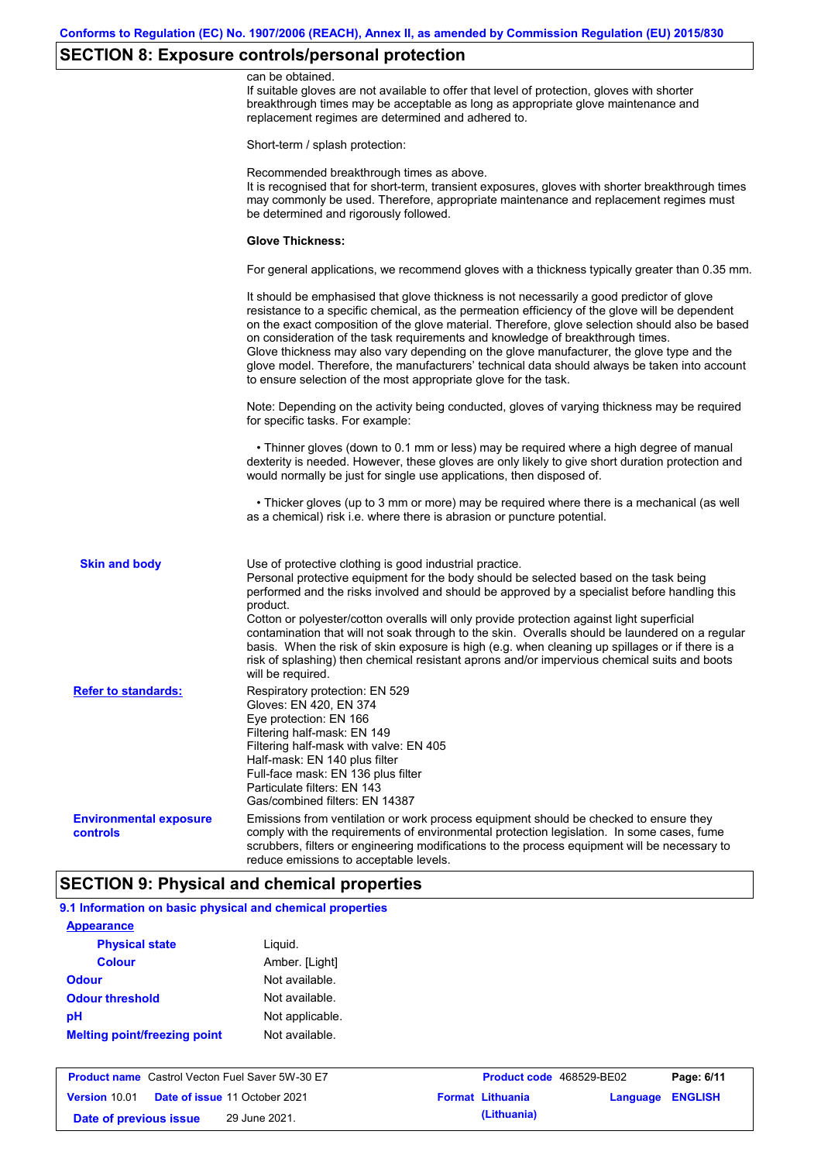# **SECTION 8: Exposure controls/personal protection**

|                                           | can be obtained.                                                                                                                                                                                                                                                                                                                                                                                                                                                                                                                                                                                                                                                 |
|-------------------------------------------|------------------------------------------------------------------------------------------------------------------------------------------------------------------------------------------------------------------------------------------------------------------------------------------------------------------------------------------------------------------------------------------------------------------------------------------------------------------------------------------------------------------------------------------------------------------------------------------------------------------------------------------------------------------|
|                                           | If suitable gloves are not available to offer that level of protection, gloves with shorter<br>breakthrough times may be acceptable as long as appropriate glove maintenance and<br>replacement regimes are determined and adhered to.                                                                                                                                                                                                                                                                                                                                                                                                                           |
|                                           | Short-term / splash protection:                                                                                                                                                                                                                                                                                                                                                                                                                                                                                                                                                                                                                                  |
|                                           | Recommended breakthrough times as above.<br>It is recognised that for short-term, transient exposures, gloves with shorter breakthrough times<br>may commonly be used. Therefore, appropriate maintenance and replacement regimes must<br>be determined and rigorously followed.                                                                                                                                                                                                                                                                                                                                                                                 |
|                                           | <b>Glove Thickness:</b>                                                                                                                                                                                                                                                                                                                                                                                                                                                                                                                                                                                                                                          |
|                                           | For general applications, we recommend gloves with a thickness typically greater than 0.35 mm.                                                                                                                                                                                                                                                                                                                                                                                                                                                                                                                                                                   |
|                                           | It should be emphasised that glove thickness is not necessarily a good predictor of glove<br>resistance to a specific chemical, as the permeation efficiency of the glove will be dependent<br>on the exact composition of the glove material. Therefore, glove selection should also be based<br>on consideration of the task requirements and knowledge of breakthrough times.<br>Glove thickness may also vary depending on the glove manufacturer, the glove type and the<br>glove model. Therefore, the manufacturers' technical data should always be taken into account<br>to ensure selection of the most appropriate glove for the task.                |
|                                           | Note: Depending on the activity being conducted, gloves of varying thickness may be required<br>for specific tasks. For example:                                                                                                                                                                                                                                                                                                                                                                                                                                                                                                                                 |
|                                           | • Thinner gloves (down to 0.1 mm or less) may be required where a high degree of manual<br>dexterity is needed. However, these gloves are only likely to give short duration protection and<br>would normally be just for single use applications, then disposed of.                                                                                                                                                                                                                                                                                                                                                                                             |
|                                           | • Thicker gloves (up to 3 mm or more) may be required where there is a mechanical (as well<br>as a chemical) risk i.e. where there is abrasion or puncture potential.                                                                                                                                                                                                                                                                                                                                                                                                                                                                                            |
| <b>Skin and body</b>                      | Use of protective clothing is good industrial practice.<br>Personal protective equipment for the body should be selected based on the task being<br>performed and the risks involved and should be approved by a specialist before handling this<br>product.<br>Cotton or polyester/cotton overalls will only provide protection against light superficial<br>contamination that will not soak through to the skin. Overalls should be laundered on a regular<br>basis. When the risk of skin exposure is high (e.g. when cleaning up spillages or if there is a<br>risk of splashing) then chemical resistant aprons and/or impervious chemical suits and boots |
| <b>Refer to standards:</b>                | will be required.                                                                                                                                                                                                                                                                                                                                                                                                                                                                                                                                                                                                                                                |
|                                           | Respiratory protection: EN 529<br>Gloves: EN 420, EN 374<br>Eye protection: EN 166<br>Filtering half-mask: EN 149<br>Filtering half-mask with valve: EN 405<br>Half-mask: EN 140 plus filter<br>Full-face mask: EN 136 plus filter<br>Particulate filters: EN 143<br>Gas/combined filters: EN 14387                                                                                                                                                                                                                                                                                                                                                              |
| <b>Environmental exposure</b><br>controls | Emissions from ventilation or work process equipment should be checked to ensure they<br>comply with the requirements of environmental protection legislation. In some cases, fume<br>scrubbers, filters or engineering modifications to the process equipment will be necessary to<br>reduce emissions to acceptable levels.                                                                                                                                                                                                                                                                                                                                    |

# **9.1 Information on basic physical and chemical properties**

| <b>Appearance</b>                   |                 |
|-------------------------------------|-----------------|
| <b>Physical state</b>               | Liguid.         |
| <b>Colour</b>                       | Amber. [Light]  |
| <b>Odour</b>                        | Not available.  |
| <b>Odour threshold</b>              | Not available.  |
| pH                                  | Not applicable. |
| <b>Melting point/freezing point</b> | Not available.  |

| <b>Product name</b> Castrol Vecton Fuel Saver 5W-30 E7 |  | <b>Product code</b> 468529-BE02      |  | Page: 6/11              |                  |  |
|--------------------------------------------------------|--|--------------------------------------|--|-------------------------|------------------|--|
| <b>Version 10.01</b>                                   |  | <b>Date of issue 11 October 2021</b> |  | <b>Format Lithuania</b> | Language ENGLISH |  |
| Date of previous issue                                 |  | 29 June 2021.                        |  | (Lithuania)             |                  |  |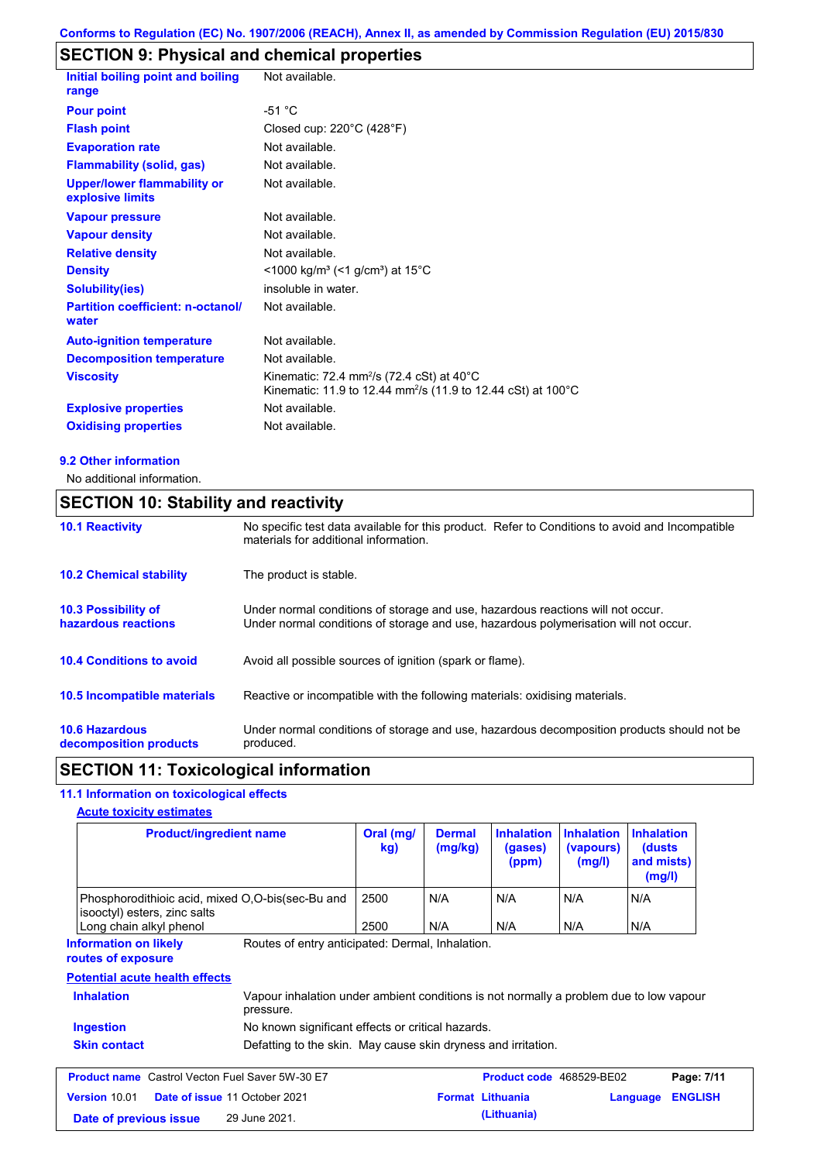# **SECTION 9: Physical and chemical properties**

| Initial boiling point and boiling<br>range             | Not available.                                                                                                                              |
|--------------------------------------------------------|---------------------------------------------------------------------------------------------------------------------------------------------|
| <b>Pour point</b>                                      | $-51 °C$                                                                                                                                    |
| <b>Flash point</b>                                     | Closed cup: $220^{\circ}$ C (428 $^{\circ}$ F)                                                                                              |
| <b>Evaporation rate</b>                                | Not available.                                                                                                                              |
| <b>Flammability (solid, gas)</b>                       | Not available.                                                                                                                              |
| <b>Upper/lower flammability or</b><br>explosive limits | Not available.                                                                                                                              |
| <b>Vapour pressure</b>                                 | Not available.                                                                                                                              |
| <b>Vapour density</b>                                  | Not available.                                                                                                                              |
| <b>Relative density</b>                                | Not available.                                                                                                                              |
| <b>Density</b>                                         | <1000 kg/m <sup>3</sup> (<1 g/cm <sup>3</sup> ) at 15 <sup>°</sup> C                                                                        |
| <b>Solubility(ies)</b>                                 | insoluble in water.                                                                                                                         |
| <b>Partition coefficient: n-octanol/</b><br>water      | Not available.                                                                                                                              |
| <b>Auto-ignition temperature</b>                       | Not available.                                                                                                                              |
| <b>Decomposition temperature</b>                       | Not available.                                                                                                                              |
| <b>Viscosity</b>                                       | Kinematic: 72.4 mm <sup>2</sup> /s (72.4 cSt) at $40^{\circ}$ C<br>Kinematic: 11.9 to 12.44 mm <sup>2</sup> /s (11.9 to 12.44 cSt) at 100°C |
| <b>Explosive properties</b>                            | Not available.                                                                                                                              |
| <b>Oxidising properties</b>                            | Not available.                                                                                                                              |

#### **9.2 Other information**

No additional information.

## **SECTION 10: Stability and reactivity**

| <b>10.1 Reactivity</b>                            | No specific test data available for this product. Refer to Conditions to avoid and Incompatible<br>materials for additional information.                                |
|---------------------------------------------------|-------------------------------------------------------------------------------------------------------------------------------------------------------------------------|
| <b>10.2 Chemical stability</b>                    | The product is stable.                                                                                                                                                  |
| <b>10.3 Possibility of</b><br>hazardous reactions | Under normal conditions of storage and use, hazardous reactions will not occur.<br>Under normal conditions of storage and use, hazardous polymerisation will not occur. |
| <b>10.4 Conditions to avoid</b>                   | Avoid all possible sources of ignition (spark or flame).                                                                                                                |
| <b>10.5 Incompatible materials</b>                | Reactive or incompatible with the following materials: oxidising materials.                                                                                             |
| <b>10.6 Hazardous</b><br>decomposition products   | Under normal conditions of storage and use, hazardous decomposition products should not be<br>produced.                                                                 |

## **SECTION 11: Toxicological information**

### **11.1 Information on toxicological effects**

#### **Acute toxicity estimates**

| <b>Product/ingredient name</b>                                                                                                    |  | Oral (mg/<br>kg) | <b>Dermal</b><br>(mg/kg) | <b>Inhalation</b><br>(gases)<br>(ppm) | <b>Inhalation</b><br>(vapours)<br>(mg/l) | <b>Inhalation</b><br>(dusts)<br>and mists)<br>(mg/l) |                |
|-----------------------------------------------------------------------------------------------------------------------------------|--|------------------|--------------------------|---------------------------------------|------------------------------------------|------------------------------------------------------|----------------|
| Phosphorodithioic acid, mixed O,O-bis(sec-Bu and<br>isooctyl) esters, zinc salts                                                  |  | 2500<br>2500     | N/A<br>N/A               | N/A                                   | N/A<br>N/A                               | N/A                                                  |                |
| Long chain alkyl phenol<br>Routes of entry anticipated: Dermal, Inhalation.<br><b>Information on likely</b><br>routes of exposure |  |                  |                          | N/A                                   |                                          | N/A                                                  |                |
| <b>Potential acute health effects</b>                                                                                             |  |                  |                          |                                       |                                          |                                                      |                |
| <b>Inhalation</b><br>Vapour inhalation under ambient conditions is not normally a problem due to low vapour<br>pressure.          |  |                  |                          |                                       |                                          |                                                      |                |
| <b>Ingestion</b><br>No known significant effects or critical hazards.                                                             |  |                  |                          |                                       |                                          |                                                      |                |
| <b>Skin contact</b><br>Defatting to the skin. May cause skin dryness and irritation.                                              |  |                  |                          |                                       |                                          |                                                      |                |
| <b>Product name</b> Castrol Vecton Fuel Saver 5W-30 E7                                                                            |  |                  |                          | <b>Product code</b> 468529-BE02       |                                          |                                                      | Page: 7/11     |
| Version 10.01<br>Date of issue 11 October 2021<br>29 June 2021.<br>Date of previous issue                                         |  |                  |                          | <b>Format Lithuania</b>               | Language                                 |                                                      | <b>ENGLISH</b> |
|                                                                                                                                   |  |                  |                          | (Lithuania)                           |                                          |                                                      |                |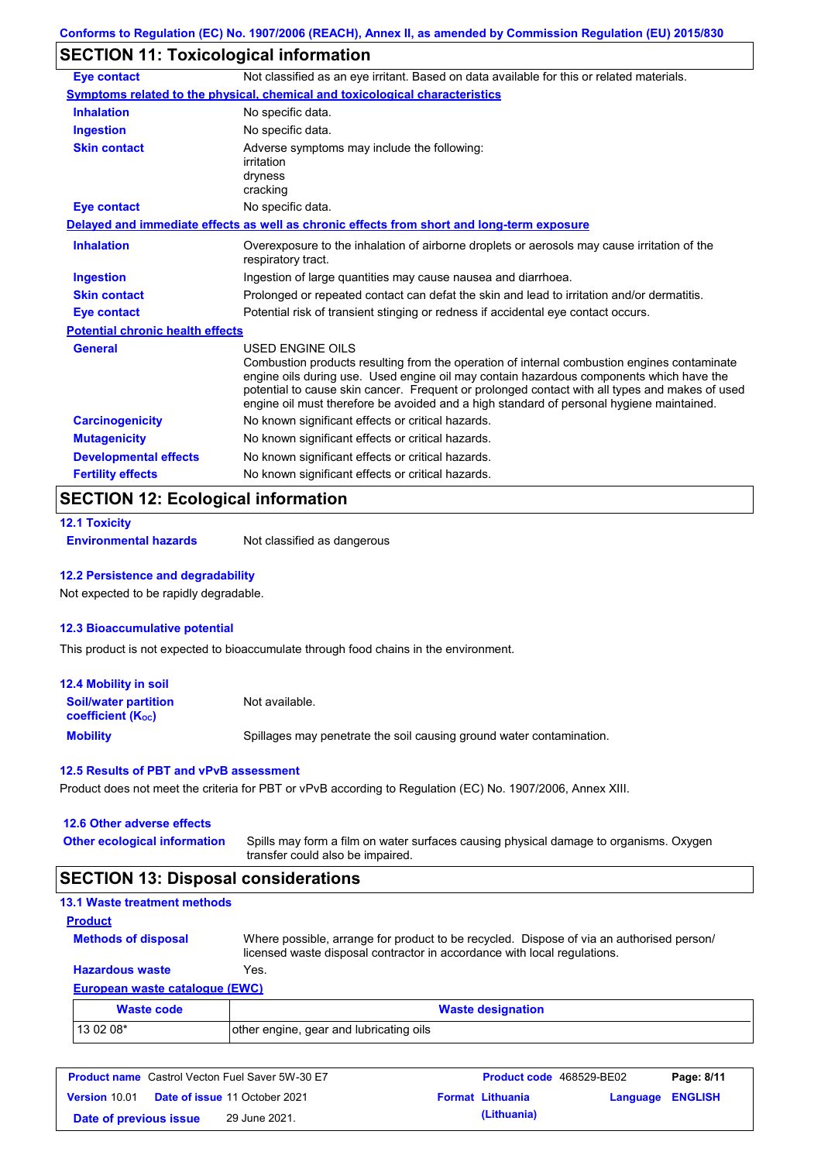# **SECTION 11: Toxicological information**

| <b>Eye contact</b>                      | Not classified as an eye irritant. Based on data available for this or related materials.                                                                                                                                                                                                                                                                                                                |
|-----------------------------------------|----------------------------------------------------------------------------------------------------------------------------------------------------------------------------------------------------------------------------------------------------------------------------------------------------------------------------------------------------------------------------------------------------------|
|                                         | <b>Symptoms related to the physical, chemical and toxicological characteristics</b>                                                                                                                                                                                                                                                                                                                      |
| <b>Inhalation</b>                       | No specific data.                                                                                                                                                                                                                                                                                                                                                                                        |
| Ingestion                               | No specific data.                                                                                                                                                                                                                                                                                                                                                                                        |
| <b>Skin contact</b>                     | Adverse symptoms may include the following:<br>irritation<br>dryness<br>cracking                                                                                                                                                                                                                                                                                                                         |
| <b>Eye contact</b>                      | No specific data.                                                                                                                                                                                                                                                                                                                                                                                        |
|                                         | Delayed and immediate effects as well as chronic effects from short and long-term exposure                                                                                                                                                                                                                                                                                                               |
| <b>Inhalation</b>                       | Overexposure to the inhalation of airborne droplets or aerosols may cause irritation of the<br>respiratory tract.                                                                                                                                                                                                                                                                                        |
| <b>Ingestion</b>                        | Ingestion of large quantities may cause nausea and diarrhoea.                                                                                                                                                                                                                                                                                                                                            |
| <b>Skin contact</b>                     | Prolonged or repeated contact can defat the skin and lead to irritation and/or dermatitis.                                                                                                                                                                                                                                                                                                               |
| <b>Eye contact</b>                      | Potential risk of transient stinging or redness if accidental eye contact occurs.                                                                                                                                                                                                                                                                                                                        |
| <b>Potential chronic health effects</b> |                                                                                                                                                                                                                                                                                                                                                                                                          |
| <b>General</b>                          | USED ENGINE OILS<br>Combustion products resulting from the operation of internal combustion engines contaminate<br>engine oils during use. Used engine oil may contain hazardous components which have the<br>potential to cause skin cancer. Frequent or prolonged contact with all types and makes of used<br>engine oil must therefore be avoided and a high standard of personal hygiene maintained. |
| <b>Carcinogenicity</b>                  | No known significant effects or critical hazards.                                                                                                                                                                                                                                                                                                                                                        |
| <b>Mutagenicity</b>                     | No known significant effects or critical hazards.                                                                                                                                                                                                                                                                                                                                                        |
| <b>Developmental effects</b>            | No known significant effects or critical hazards.                                                                                                                                                                                                                                                                                                                                                        |
| <b>Fertility effects</b>                | No known significant effects or critical hazards.                                                                                                                                                                                                                                                                                                                                                        |

### **SECTION 12: Ecological information**

## **12.1 Toxicity**

**Environmental hazards** Not classified as dangerous

#### **12.2 Persistence and degradability**

Not expected to be rapidly degradable.

#### **12.3 Bioaccumulative potential**

This product is not expected to bioaccumulate through food chains in the environment.

| <b>12.4 Mobility in soil</b>                            |                                                                      |
|---------------------------------------------------------|----------------------------------------------------------------------|
| <b>Soil/water partition</b><br><b>coefficient (Koc)</b> | Not available.                                                       |
| <b>Mobility</b>                                         | Spillages may penetrate the soil causing ground water contamination. |

#### **12.5 Results of PBT and vPvB assessment**

Product does not meet the criteria for PBT or vPvB according to Regulation (EC) No. 1907/2006, Annex XIII.

#### **12.6 Other adverse effects**

| <b>Other ecological information</b> | Spills may form a film on water surfaces causing physical damage to organisms. Oxygen |
|-------------------------------------|---------------------------------------------------------------------------------------|
|                                     | transfer could also be impaired.                                                      |

## **SECTION 13: Disposal considerations**

#### **European waste catalogue (EWC) Hazardous waste** Yes. Where possible, arrange for product to be recycled. Dispose of via an authorised person/ licensed waste disposal contractor in accordance with local regulations. **Methods of disposal 13.1 Waste treatment methods Product**

| Waste code | <b>Waste designation</b>                |
|------------|-----------------------------------------|
| $130208*$  | other engine, gear and lubricating oils |

| <b>Product name</b> Castrol Vecton Fuel Saver 5W-30 E7 |  |                                      | <b>Product code</b> 468529-BE02 |                         | Page: 8/11              |  |
|--------------------------------------------------------|--|--------------------------------------|---------------------------------|-------------------------|-------------------------|--|
| Version 10.01                                          |  | <b>Date of issue 11 October 2021</b> |                                 | <b>Format Lithuania</b> | <b>Language ENGLISH</b> |  |
| Date of previous issue                                 |  | 29 June 2021.                        |                                 | (Lithuania)             |                         |  |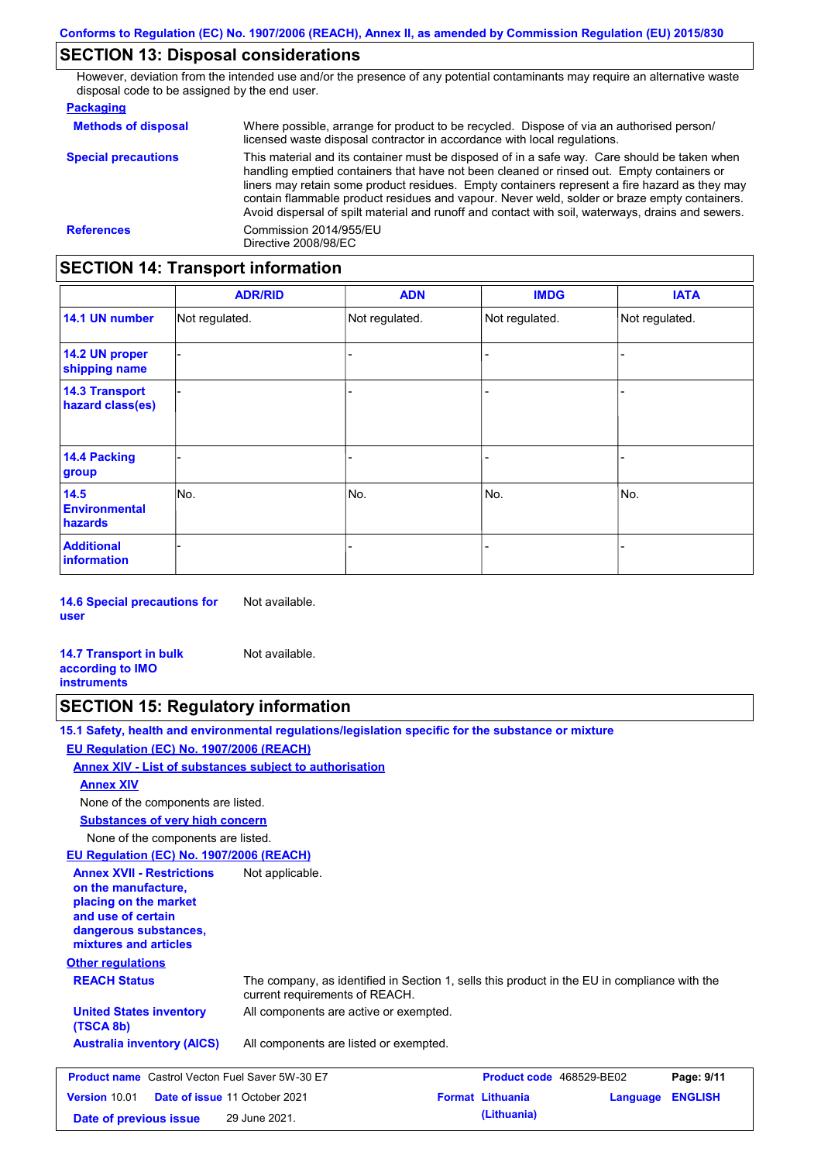## **SECTION 13: Disposal considerations**

However, deviation from the intended use and/or the presence of any potential contaminants may require an alternative waste disposal code to be assigned by the end user.

#### **Packaging**

| <b>Methods of disposal</b> | Where possible, arrange for product to be recycled. Dispose of via an authorised person/<br>licensed waste disposal contractor in accordance with local regulations.                                                                                                                                                                                                                                                                                                                            |
|----------------------------|-------------------------------------------------------------------------------------------------------------------------------------------------------------------------------------------------------------------------------------------------------------------------------------------------------------------------------------------------------------------------------------------------------------------------------------------------------------------------------------------------|
| <b>Special precautions</b> | This material and its container must be disposed of in a safe way. Care should be taken when<br>handling emptied containers that have not been cleaned or rinsed out. Empty containers or<br>liners may retain some product residues. Empty containers represent a fire hazard as they may<br>contain flammable product residues and vapour. Never weld, solder or braze empty containers.<br>Avoid dispersal of spilt material and runoff and contact with soil, waterways, drains and sewers. |
| <b>References</b>          | Commission 2014/955/EU<br>Directive 2008/98/EC                                                                                                                                                                                                                                                                                                                                                                                                                                                  |

## **SECTION 14: Transport information**

|                                           | <b>ADR/RID</b> | <b>ADN</b>     | <b>IMDG</b>    | <b>IATA</b>    |
|-------------------------------------------|----------------|----------------|----------------|----------------|
| 14.1 UN number                            | Not regulated. | Not regulated. | Not regulated. | Not regulated. |
| 14.2 UN proper<br>shipping name           |                |                | ۰              |                |
| <b>14.3 Transport</b><br>hazard class(es) |                |                | -              |                |
| <b>14.4 Packing</b><br>group              |                |                | -              |                |
| 14.5<br><b>Environmental</b><br>hazards   | No.            | No.            | No.            | No.            |
| <b>Additional</b><br><b>information</b>   |                |                |                |                |

**14.6 Special precautions for user** Not available.

| <b>14.7 Transport in bulk</b> | Not available. |
|-------------------------------|----------------|
| according to <b>IMO</b>       |                |
| <b>instruments</b>            |                |

### **SECTION 15: Regulatory information**

**15.1 Safety, health and environmental regulations/legislation specific for the substance or mixture**

#### **Other regulations REACH Status** The company, as identified in Section 1, sells this product in the EU in compliance with the current requirements of REACH. **EU Regulation (EC) No. 1907/2006 (REACH) Annex XIV - List of substances subject to authorisation Substances of very high concern** None of the components are listed. All components are listed or exempted. **United States inventory** All components are active or exempted. **(TSCA 8b) Australia inventory (AICS)** None of the components are listed. **Annex XIV EU Regulation (EC) No. 1907/2006 (REACH) Annex XVII - Restrictions on the manufacture, placing on the market and use of certain dangerous substances, mixtures and articles** Not applicable. **Product name** Castrol Vecton Fuel Saver 5W-30 E7 **Product Code 468529-BE02 Page: 9/11 Version** 10.01 **Date of issue** 11 October 2021 **Format Lithuania Language ENGLISH Date of previous issue (Lithuania)** 29 June 2021.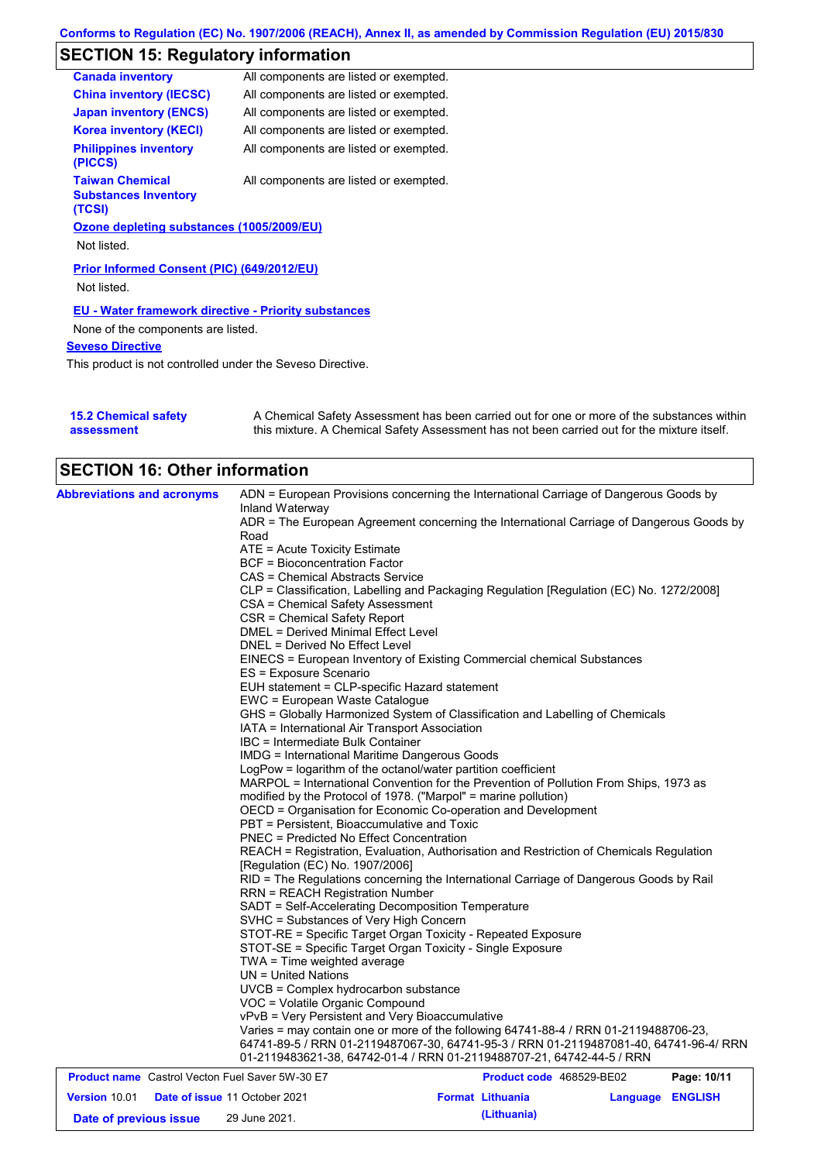# **SECTION 15: Regulatory information**

| <b>Canada inventory</b>                                         | All components are listed or exempted. |
|-----------------------------------------------------------------|----------------------------------------|
| <b>China inventory (IECSC)</b>                                  | All components are listed or exempted. |
| <b>Japan inventory (ENCS)</b>                                   | All components are listed or exempted. |
| <b>Korea inventory (KECI)</b>                                   | All components are listed or exempted. |
| <b>Philippines inventory</b><br>(PICCS)                         | All components are listed or exempted. |
| <b>Taiwan Chemical</b><br><b>Substances Inventory</b><br>(TCSI) | All components are listed or exempted. |
| Ozone depleting substances (1005/2009/EU)                       |                                        |
| Not listed.                                                     |                                        |
| Prior Informed Consent (PIC) (649/2012/EU)                      |                                        |
| Not listed.                                                     |                                        |
| <b>EU - Water framework directive - Priority substances</b>     |                                        |
| None of the components are listed.                              |                                        |
| <b>Seveso Directive</b>                                         |                                        |

This product is not controlled under the Seveso Directive.

| <b>15.2 Chemical safety</b> | A Chemical Safety Assessment has been carried out for one or more of the substances within  |
|-----------------------------|---------------------------------------------------------------------------------------------|
| assessment                  | this mixture. A Chemical Safety Assessment has not been carried out for the mixture itself. |

| <b>Abbreviations and acronyms</b>                      | ADN = European Provisions concerning the International Carriage of Dangerous Goods by                                                                                                                                                     |                          |                            |  |  |
|--------------------------------------------------------|-------------------------------------------------------------------------------------------------------------------------------------------------------------------------------------------------------------------------------------------|--------------------------|----------------------------|--|--|
|                                                        | Inland Waterway                                                                                                                                                                                                                           |                          |                            |  |  |
|                                                        | ADR = The European Agreement concerning the International Carriage of Dangerous Goods by                                                                                                                                                  |                          |                            |  |  |
|                                                        | Road                                                                                                                                                                                                                                      |                          |                            |  |  |
|                                                        | ATE = Acute Toxicity Estimate<br><b>BCF</b> = Bioconcentration Factor<br>CAS = Chemical Abstracts Service<br>CLP = Classification, Labelling and Packaging Regulation [Regulation (EC) No. 1272/2008]<br>CSA = Chemical Safety Assessment |                          |                            |  |  |
|                                                        |                                                                                                                                                                                                                                           |                          |                            |  |  |
|                                                        |                                                                                                                                                                                                                                           |                          |                            |  |  |
|                                                        |                                                                                                                                                                                                                                           |                          |                            |  |  |
|                                                        |                                                                                                                                                                                                                                           |                          |                            |  |  |
|                                                        | CSR = Chemical Safety Report<br>DMEL = Derived Minimal Effect Level                                                                                                                                                                       |                          |                            |  |  |
|                                                        | DNEL = Derived No Effect Level                                                                                                                                                                                                            |                          |                            |  |  |
|                                                        | EINECS = European Inventory of Existing Commercial chemical Substances                                                                                                                                                                    |                          |                            |  |  |
|                                                        | ES = Exposure Scenario                                                                                                                                                                                                                    |                          |                            |  |  |
|                                                        | EUH statement = CLP-specific Hazard statement                                                                                                                                                                                             |                          |                            |  |  |
|                                                        | EWC = European Waste Catalogue                                                                                                                                                                                                            |                          |                            |  |  |
|                                                        | GHS = Globally Harmonized System of Classification and Labelling of Chemicals                                                                                                                                                             |                          |                            |  |  |
|                                                        | IATA = International Air Transport Association                                                                                                                                                                                            |                          |                            |  |  |
|                                                        | IBC = Intermediate Bulk Container                                                                                                                                                                                                         |                          |                            |  |  |
|                                                        | IMDG = International Maritime Dangerous Goods                                                                                                                                                                                             |                          |                            |  |  |
|                                                        | LogPow = logarithm of the octanol/water partition coefficient                                                                                                                                                                             |                          |                            |  |  |
|                                                        | MARPOL = International Convention for the Prevention of Pollution From Ships, 1973 as                                                                                                                                                     |                          |                            |  |  |
|                                                        | modified by the Protocol of 1978. ("Marpol" = marine pollution)                                                                                                                                                                           |                          |                            |  |  |
|                                                        | OECD = Organisation for Economic Co-operation and Development                                                                                                                                                                             |                          |                            |  |  |
|                                                        | PBT = Persistent, Bioaccumulative and Toxic                                                                                                                                                                                               |                          |                            |  |  |
|                                                        | <b>PNEC = Predicted No Effect Concentration</b>                                                                                                                                                                                           |                          |                            |  |  |
|                                                        | REACH = Registration, Evaluation, Authorisation and Restriction of Chemicals Regulation<br>[Regulation (EC) No. 1907/2006]                                                                                                                |                          |                            |  |  |
|                                                        | RID = The Regulations concerning the International Carriage of Dangerous Goods by Rail                                                                                                                                                    |                          |                            |  |  |
|                                                        | <b>RRN = REACH Registration Number</b>                                                                                                                                                                                                    |                          |                            |  |  |
|                                                        | SADT = Self-Accelerating Decomposition Temperature<br>SVHC = Substances of Very High Concern                                                                                                                                              |                          |                            |  |  |
|                                                        | STOT-RE = Specific Target Organ Toxicity - Repeated Exposure                                                                                                                                                                              |                          |                            |  |  |
|                                                        | STOT-SE = Specific Target Organ Toxicity - Single Exposure                                                                                                                                                                                |                          |                            |  |  |
|                                                        | TWA = Time weighted average                                                                                                                                                                                                               |                          |                            |  |  |
|                                                        | UN = United Nations                                                                                                                                                                                                                       |                          |                            |  |  |
|                                                        | $UVCB = Complex\;hydrocarbon\; substance$                                                                                                                                                                                                 |                          |                            |  |  |
|                                                        | VOC = Volatile Organic Compound                                                                                                                                                                                                           |                          |                            |  |  |
|                                                        | vPvB = Very Persistent and Very Bioaccumulative                                                                                                                                                                                           |                          |                            |  |  |
|                                                        | Varies = may contain one or more of the following 64741-88-4 / RRN 01-2119488706-23,                                                                                                                                                      |                          |                            |  |  |
|                                                        | 64741-89-5 / RRN 01-2119487067-30, 64741-95-3 / RRN 01-2119487081-40, 64741-96-4/ RRN                                                                                                                                                     |                          |                            |  |  |
|                                                        | 01-2119483621-38, 64742-01-4 / RRN 01-2119488707-21, 64742-44-5 / RRN                                                                                                                                                                     |                          |                            |  |  |
| <b>Product name</b> Castrol Vecton Fuel Saver 5W-30 E7 |                                                                                                                                                                                                                                           | Product code 468529-BE02 | Page: 10/11                |  |  |
| <b>Version 10.01</b>                                   | <b>Date of issue 11 October 2021</b>                                                                                                                                                                                                      | <b>Format Lithuania</b>  | <b>ENGLISH</b><br>Language |  |  |

**Date of previous issue (Lithuania)** 29 June 2021.